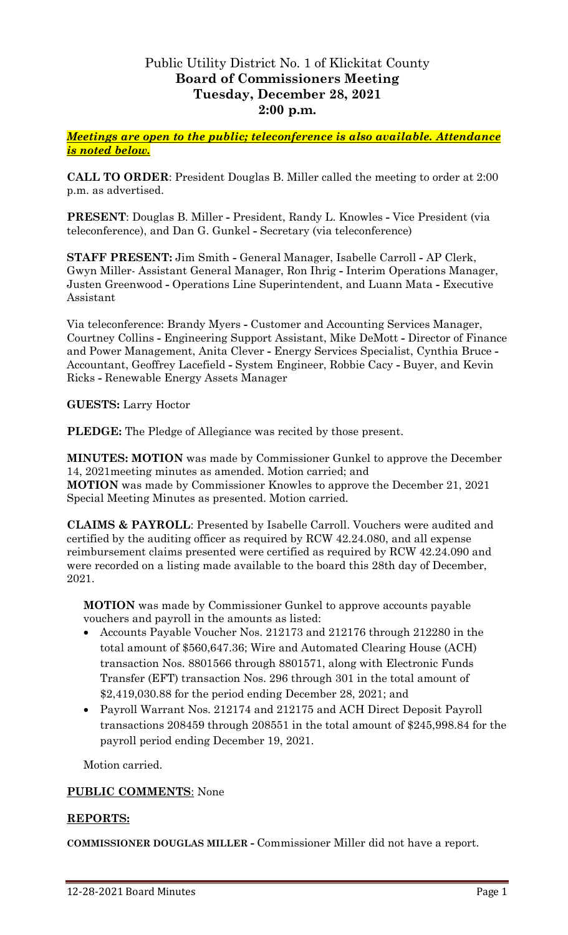# Public Utility District No. 1 of Klickitat County **Board of Commissioners Meeting Tuesday, December 28, 2021 2:00 p.m.**

*Meetings are open to the public; teleconference is also available. Attendance is noted below.*

**CALL TO ORDER**: President Douglas B. Miller called the meeting to order at 2:00 p.m. as advertised.

**PRESENT**: Douglas B. Miller **-** President, Randy L. Knowles **-** Vice President (via teleconference), and Dan G. Gunkel **-** Secretary (via teleconference)

**STAFF PRESENT:** Jim Smith **-** General Manager, Isabelle Carroll **-** AP Clerk, Gwyn Miller- Assistant General Manager, Ron Ihrig **-** Interim Operations Manager, Justen Greenwood **-** Operations Line Superintendent, and Luann Mata **-** Executive Assistant

Via teleconference: Brandy Myers **-** Customer and Accounting Services Manager, Courtney Collins **-** Engineering Support Assistant, Mike DeMott **-** Director of Finance and Power Management, Anita Clever **-** Energy Services Specialist, Cynthia Bruce **-** Accountant, Geoffrey Lacefield **-** System Engineer, Robbie Cacy **-** Buyer, and Kevin Ricks **-** Renewable Energy Assets Manager

**GUESTS:** Larry Hoctor

**PLEDGE:** The Pledge of Allegiance was recited by those present.

**MINUTES: MOTION** was made by Commissioner Gunkel to approve the December 14, 2021meeting minutes as amended. Motion carried; and **MOTION** was made by Commissioner Knowles to approve the December 21, 2021 Special Meeting Minutes as presented. Motion carried.

**CLAIMS & PAYROLL**: Presented by Isabelle Carroll. Vouchers were audited and certified by the auditing officer as required by RCW 42.24.080, and all expense reimbursement claims presented were certified as required by RCW 42.24.090 and were recorded on a listing made available to the board this 28th day of December, 2021.

**MOTION** was made by Commissioner Gunkel to approve accounts payable vouchers and payroll in the amounts as listed:

- Accounts Payable Voucher Nos. 212173 and 212176 through 212280 in the total amount of \$560,647.36; Wire and Automated Clearing House (ACH) transaction Nos. 8801566 through 8801571, along with Electronic Funds Transfer (EFT) transaction Nos. 296 through 301 in the total amount of \$2,419,030.88 for the period ending December 28, 2021; and
- Payroll Warrant Nos. 212174 and 212175 and ACH Direct Deposit Payroll transactions 208459 through 208551 in the total amount of \$245,998.84 for the payroll period ending December 19, 2021.

Motion carried.

### **PUBLIC COMMENTS**: None

#### **REPORTS:**

**COMMISSIONER DOUGLAS MILLER -** Commissioner Miller did not have a report.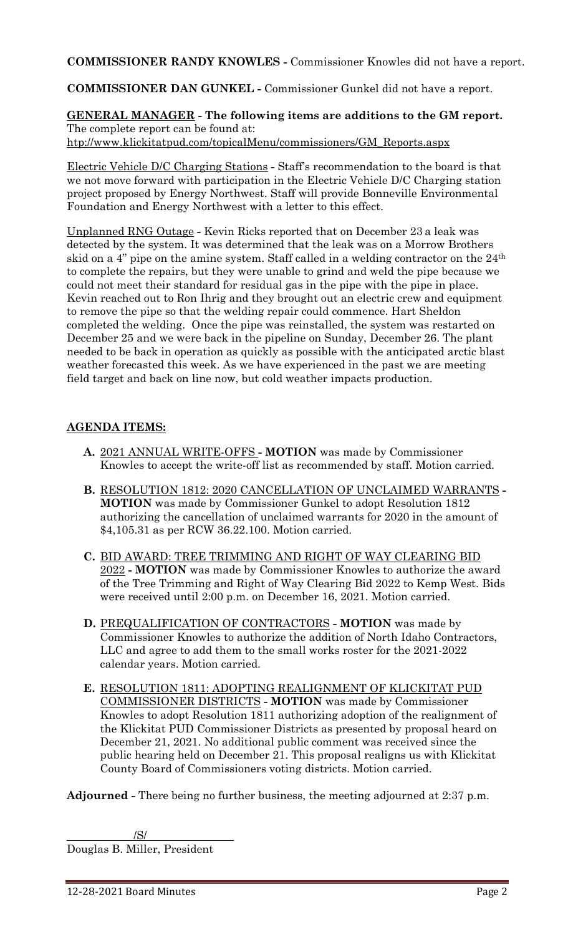**COMMISSIONER RANDY KNOWLES -** Commissioner Knowles did not have a report.

**COMMISSIONER DAN GUNKEL -** Commissioner Gunkel did not have a report.

**GENERAL MANAGER - The following items are additions to the GM report.** The complete report can be found at: [htp://www.klickitatpud.com/topicalMenu/commissioners/GM\\_Reports.aspx](http://www.klickitatpud.com/topicalMenu/commissioners/GM_Reports.aspx)

Electric Vehicle D/C Charging Stations **-** Staff's recommendation to the board is that we not move forward with participation in the Electric Vehicle D/C Charging station project proposed by Energy Northwest. Staff will provide Bonneville Environmental Foundation and Energy Northwest with a letter to this effect.

Unplanned RNG Outage **-** Kevin Ricks reported that on December 23 a leak was detected by the system. It was determined that the leak was on a Morrow Brothers skid on a 4" pipe on the amine system. Staff called in a welding contractor on the 24th to complete the repairs, but they were unable to grind and weld the pipe because we could not meet their standard for residual gas in the pipe with the pipe in place. Kevin reached out to Ron Ihrig and they brought out an electric crew and equipment to remove the pipe so that the welding repair could commence. Hart Sheldon completed the welding. Once the pipe was reinstalled, the system was restarted on December 25 and we were back in the pipeline on Sunday, December 26. The plant needed to be back in operation as quickly as possible with the anticipated arctic blast weather forecasted this week. As we have experienced in the past we are meeting field target and back on line now, but cold weather impacts production.

## **AGENDA ITEMS:**

- **A.** 2021 ANNUAL WRITE-OFFS **- MOTION** was made by Commissioner Knowles to accept the write-off list as recommended by staff. Motion carried.
- **B.** RESOLUTION 1812: 2020 CANCELLATION OF UNCLAIMED WARRANTS **- MOTION** was made by Commissioner Gunkel to adopt Resolution 1812 authorizing the cancellation of unclaimed warrants for 2020 in the amount of \$4,105.31 as per RCW 36.22.100. Motion carried.
- **C.** BID AWARD: TREE TRIMMING AND RIGHT OF WAY CLEARING BID 2022 **- MOTION** was made by Commissioner Knowles to authorize the award of the Tree Trimming and Right of Way Clearing Bid 2022 to Kemp West. Bids were received until 2:00 p.m. on December 16, 2021. Motion carried.
- **D.** PREQUALIFICATION OF CONTRACTORS **- MOTION** was made by Commissioner Knowles to authorize the addition of North Idaho Contractors, LLC and agree to add them to the small works roster for the 2021-2022 calendar years. Motion carried.
- **E.** RESOLUTION 1811: ADOPTING REALIGNMENT OF KLICKITAT PUD COMMISSIONER DISTRICTS **- MOTION** was made by Commissioner Knowles to adopt Resolution 1811 authorizing adoption of the realignment of the Klickitat PUD Commissioner Districts as presented by proposal heard on December 21, 2021. No additional public comment was received since the public hearing held on December 21. This proposal realigns us with Klickitat County Board of Commissioners voting districts. Motion carried.

**Adjourned -** There being no further business, the meeting adjourned at 2:37 p.m.

# /S/

Douglas B. Miller, President